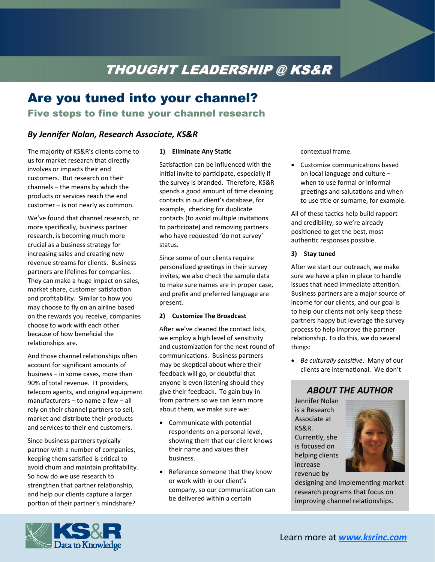# THOUGHT LEADERSHIP @ KS&R

## Are you tuned into your channel?

### Five steps to fine tune your channel research

## *By Jennifer Nolan, Research Associate, KS&R*

The majority of KS&R's clients come to us for market research that directly involves or impacts their end customers. But research on their channels – the means by which the products or services reach the end customer – is not nearly as common.

We've found that channel research, or more specifically, business partner research, is becoming much more crucial as a business strategy for increasing sales and creating new revenue streams for clients. Business partners are lifelines for companies. They can make a huge impact on sales, market share, customer satisfaction and profitability. Similar to how you may choose to fly on an airline based on the rewards you receive, companies choose to work with each other because of how beneficial the relationships are.

And those channel relationships often account for significant amounts of business – in some cases, more than 90% of total revenue. IT providers, telecom agents, and original equipment manufacturers – to name a few – all rely on their channel partners to sell, market and distribute their products and services to their end customers.

Since business partners typically partner with a number of companies, keeping them satisfied is critical to avoid churn and maintain profitability. So how do we use research to strengthen that partner relationship, and help our clients capture a larger portion of their partner's mindshare?

#### **1) Eliminate** Any Static

Satisfaction can be influenced with the initial invite to participate, especially if the survey is branded. Therefore, KS&R spends a good amount of time cleaning contacts in our client's database, for example, checking for duplicate contacts (to avoid multiple invitations to participate) and removing partners who have requested 'do not survey' status.

Since some of our clients require personalized greetings in their survey invites, we also check the sample data to make sure names are in proper case, and prefix and preferred language are present.

#### **2) Customize The Broadcast**

After we've cleaned the contact lists, we employ a high level of sensitivity and customization for the next round of communications. Business partners may be skeptical about where their feedback will go, or doubtful that anyone is even listening should they give their feedback. To gain buy‐in from partners so we can learn more about them, we make sure we:

- Communicate with potential respondents on a personal level, showing them that our client knows their name and values their business.
- Reference someone that they know or work with in our client's company, so our communication can be delivered within a certain

contextual frame.

• Customize communications based on local language and culture – when to use formal or informal greetings and salutations and when to use title or surname, for example.

All of these tactics help build rapport and credibility, so we're already positioned to get the best, most authentic responses possible.

#### **3) Stay tuned**

After we start our outreach, we make sure we have a plan in place to handle issues that need immediate attention. Business partners are a major source of income for our clients, and our goal is to help our clients not only keep these partners happy but leverage the survey process to help improve the partner relationship. To do this, we do several things:

• *Be culturally sensitive*. Many of our clients are international. We don't

## *ABOUT THE AUTHOR*

Jennifer Nolan is a Research Associate at KS&R. Currently, she is focused on helping clients increase revenue by



designing and implementing market research programs that focus on improving channel relationships.